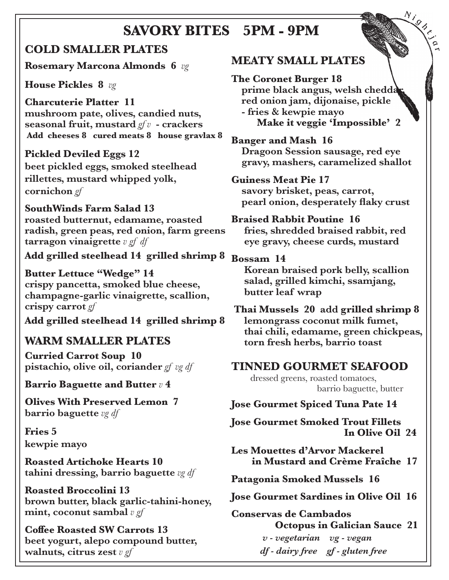## **SAVORY BITES 5PM - 9PM**

## **COLD SMALLER PLATES**

**Rosemary Marcona Almonds 6** *vg*

**House Pickles 8** *vg*

**Charcuterie Platter 11 mushroom pate, olives, candied nuts, seasonal fruit, mustard** *gf v* **- crackers Add cheeses 8 cured meats 8 house gravlax 8**

**Pickled Deviled Eggs 12 beet pickled eggs, smoked steelhead rillettes, mustard whipped yolk, cornichon** *gf*

**SouthWinds Farm Salad 13 roasted butternut, edamame, roasted radish, green peas, red onion, farm greens tarragon vinaigrette** *v gf df*

**Add grilled steelhead 14 grilled shrimp 8**

**Butter Lettuce "Wedge" 14 crispy pancetta, smoked blue cheese, champagne-garlic vinaigrette, scallion, crispy carrot** *gf*

**Add grilled steelhead 14 grilled shrimp 8**

## **WARM SMALLER PLATES**

**Curried Carrot Soup 10 pistachio, olive oil, coriander** *gf vg df*

**Barrio Baguette and Butter** *v* **4** 

**Olives With Preserved Lemon 7 barrio baguette** *vg df* 

**Fries 5 kewpie mayo**

**Roasted Artichoke Hearts 10 tahini dressing, barrio baguette** *vg df* 

**Roasted Broccolini 13 brown butter, black garlic-tahini-honey, mint, coconut sambal** *v gf*

**Coffee Roasted SW Carrots 13 beet yogurt, alepo compound butter, walnuts, citrus zest** *v gf*

## **MEATY SMALL PLATES**

**The Coronet Burger 18** prime black angus, welsh chedda  **red onion jam, dijonaise, pickle - fries & kewpie mayo Make it veggie 'Impossible' 2**

**<sup>N</sup> <sup>i</sup> <sup>g</sup> <sup>h</sup> <sup>t</sup> <sup>j</sup>**

**a r**

**Banger and Mash 16**

 **Dragoon Session sausage, red eye gravy, mashers, caramelized shallot**

#### **Guiness Meat Pie 17**

 **savory brisket, peas, carrot, pearl onion, desperately flaky crust**

#### **Braised Rabbit Poutine 16**

 **fries, shredded braised rabbit, red eye gravy, cheese curds, mustard**

#### **Bossam 14**

 **Korean braised pork belly, scallion salad, grilled kimchi, ssamjang, butter leaf wrap** 

 **Thai Mussels 20 add grilled shrimp 8 lemongrass coconut milk fumet, thai chili, edamame, green chickpeas, torn fresh herbs, barrio toast** 

### **TINNED GOURMET SEAFOOD**

 dressed greens, roasted tomatoes, barrio baguette, butter

#### **Jose Gourmet Spiced Tuna Pate 14**

**Jose Gourmet Smoked Trout Fillets In Olive Oil 24**

**Les Mouettes d'Arvor Mackerel in Mustard and Crème Fraîche 17**

**Patagonia Smoked Mussels 16**

**Jose Gourmet Sardines in Olive Oil 16**

**Conservas de Cambados Octopus in Galician Sauce 21**  *v - vegetarian vg - vegan df - dairy free gf - gluten free*